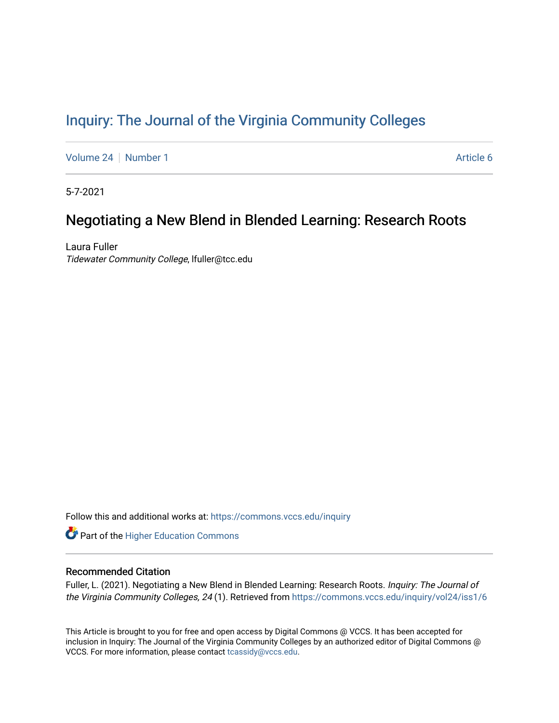# [Inquiry: The Journal of the Virginia Community Colleges](https://commons.vccs.edu/inquiry)

[Volume 24](https://commons.vccs.edu/inquiry/vol24) | [Number 1](https://commons.vccs.edu/inquiry/vol24/iss1) Article 6

5-7-2021

# Negotiating a New Blend in Blended Learning: Research Roots

Laura Fuller Tidewater Community College, lfuller@tcc.edu

Follow this and additional works at: [https://commons.vccs.edu/inquiry](https://commons.vccs.edu/inquiry?utm_source=commons.vccs.edu%2Finquiry%2Fvol24%2Fiss1%2F6&utm_medium=PDF&utm_campaign=PDFCoverPages)

Part of the [Higher Education Commons](http://network.bepress.com/hgg/discipline/1245?utm_source=commons.vccs.edu%2Finquiry%2Fvol24%2Fiss1%2F6&utm_medium=PDF&utm_campaign=PDFCoverPages) 

## Recommended Citation

Fuller, L. (2021). Negotiating a New Blend in Blended Learning: Research Roots. Inquiry: The Journal of the Virginia Community Colleges, 24 (1). Retrieved from [https://commons.vccs.edu/inquiry/vol24/iss1/6](https://commons.vccs.edu/inquiry/vol24/iss1/6?utm_source=commons.vccs.edu%2Finquiry%2Fvol24%2Fiss1%2F6&utm_medium=PDF&utm_campaign=PDFCoverPages) 

This Article is brought to you for free and open access by Digital Commons @ VCCS. It has been accepted for inclusion in Inquiry: The Journal of the Virginia Community Colleges by an authorized editor of Digital Commons @ VCCS. For more information, please contact [tcassidy@vccs.edu](mailto:tcassidy@vccs.edu).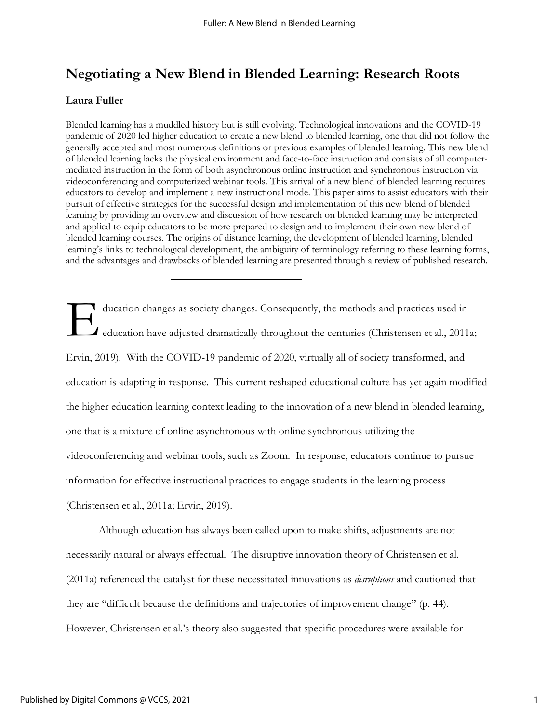# **Negotiating a New Blend in Blended Learning: Research Roots**

## **Laura Fuller**

Blended learning has a muddled history but is still evolving. Technological innovations and the COVID-19 pandemic of 2020 led higher education to create a new blend to blended learning, one that did not follow the generally accepted and most numerous definitions or previous examples of blended learning. This new blend of blended learning lacks the physical environment and face-to-face instruction and consists of all computermediated instruction in the form of both asynchronous online instruction and synchronous instruction via videoconferencing and computerized webinar tools. This arrival of a new blend of blended learning requires educators to develop and implement a new instructional mode. This paper aims to assist educators with their pursuit of effective strategies for the successful design and implementation of this new blend of blended learning by providing an overview and discussion of how research on blended learning may be interpreted and applied to equip educators to be more prepared to design and to implement their own new blend of blended learning courses. The origins of distance learning, the development of blended learning, blended learning's links to technological development, the ambiguity of terminology referring to these learning forms, and the advantages and drawbacks of blended learning are presented through a review of published research.

ducation changes as society changes. Consequently, the methods and practices used in education have adjusted dramatically throughout the centuries (Christensen et al., 2011a; Ervin, 2019). With the COVID-19 pandemic of 2020, virtually all of society transformed, and education is adapting in response. This current reshaped educational culture has yet again modified the higher education learning context leading to the innovation of a new blend in blended learning, one that is a mixture of online asynchronous with online synchronous utilizing the videoconferencing and webinar tools, such as Zoom. In response, educators continue to pursue information for effective instructional practices to engage students in the learning process (Christensen et al., 2011a; Ervin, 2019). E

Although education has always been called upon to make shifts, adjustments are not necessarily natural or always effectual. The disruptive innovation theory of Christensen et al. (2011a) referenced the catalyst for these necessitated innovations as *disruptions* and cautioned that they are "difficult because the definitions and trajectories of improvement change" (p. 44). However, Christensen et al.'s theory also suggested that specific procedures were available for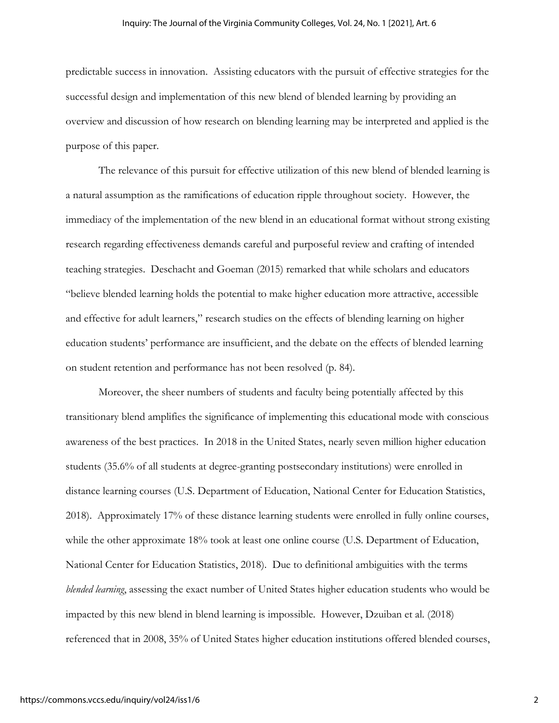predictable success in innovation. Assisting educators with the pursuit of effective strategies for the successful design and implementation of this new blend of blended learning by providing an overview and discussion of how research on blending learning may be interpreted and applied is the purpose of this paper.

The relevance of this pursuit for effective utilization of this new blend of blended learning is a natural assumption as the ramifications of education ripple throughout society. However, the immediacy of the implementation of the new blend in an educational format without strong existing research regarding effectiveness demands careful and purposeful review and crafting of intended teaching strategies. Deschacht and Goeman (2015) remarked that while scholars and educators "believe blended learning holds the potential to make higher education more attractive, accessible and effective for adult learners," research studies on the effects of blending learning on higher education students' performance are insufficient, and the debate on the effects of blended learning on student retention and performance has not been resolved (p. 84).

Moreover, the sheer numbers of students and faculty being potentially affected by this transitionary blend amplifies the significance of implementing this educational mode with conscious awareness of the best practices. In 2018 in the United States, nearly seven million higher education students (35.6% of all students at degree-granting postsecondary institutions) were enrolled in distance learning courses (U.S. Department of Education, National Center for Education Statistics, 2018). Approximately 17% of these distance learning students were enrolled in fully online courses, while the other approximate 18% took at least one online course (U.S. Department of Education, National Center for Education Statistics, 2018). Due to definitional ambiguities with the terms *blended learning*, assessing the exact number of United States higher education students who would be impacted by this new blend in blend learning is impossible. However, Dzuiban et al. (2018) referenced that in 2008, 35% of United States higher education institutions offered blended courses,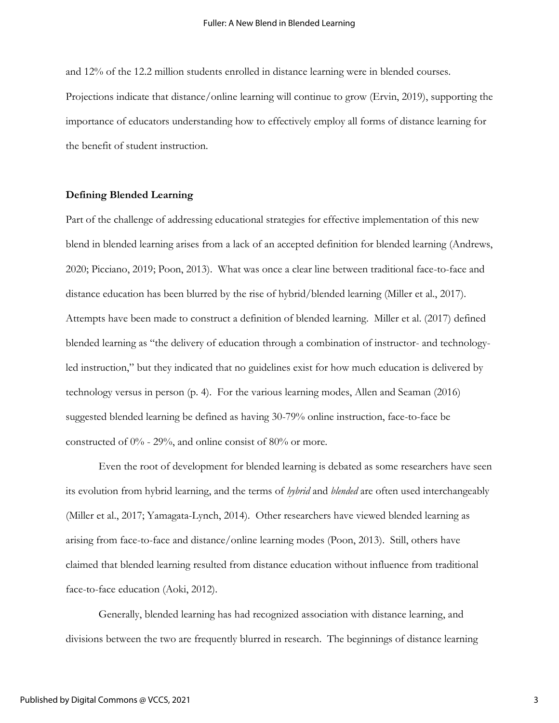and 12% of the 12.2 million students enrolled in distance learning were in blended courses. Projections indicate that distance/online learning will continue to grow (Ervin, 2019), supporting the importance of educators understanding how to effectively employ all forms of distance learning for the benefit of student instruction.

#### **Defining Blended Learning**

Part of the challenge of addressing educational strategies for effective implementation of this new blend in blended learning arises from a lack of an accepted definition for blended learning (Andrews, 2020; Picciano, 2019; Poon, 2013). What was once a clear line between traditional face-to-face and distance education has been blurred by the rise of hybrid/blended learning (Miller et al., 2017). Attempts have been made to construct a definition of blended learning. Miller et al. (2017) defined blended learning as "the delivery of education through a combination of instructor- and technologyled instruction," but they indicated that no guidelines exist for how much education is delivered by technology versus in person (p. 4). For the various learning modes, Allen and Seaman (2016) suggested blended learning be defined as having 30-79% online instruction, face-to-face be constructed of 0% - 29%, and online consist of 80% or more.

Even the root of development for blended learning is debated as some researchers have seen its evolution from hybrid learning, and the terms of *hybrid* and *blended* are often used interchangeably (Miller et al., 2017; Yamagata-Lynch, 2014). Other researchers have viewed blended learning as arising from face-to-face and distance/online learning modes (Poon, 2013). Still, others have claimed that blended learning resulted from distance education without influence from traditional face-to-face education (Aoki, 2012).

Generally, blended learning has had recognized association with distance learning, and divisions between the two are frequently blurred in research. The beginnings of distance learning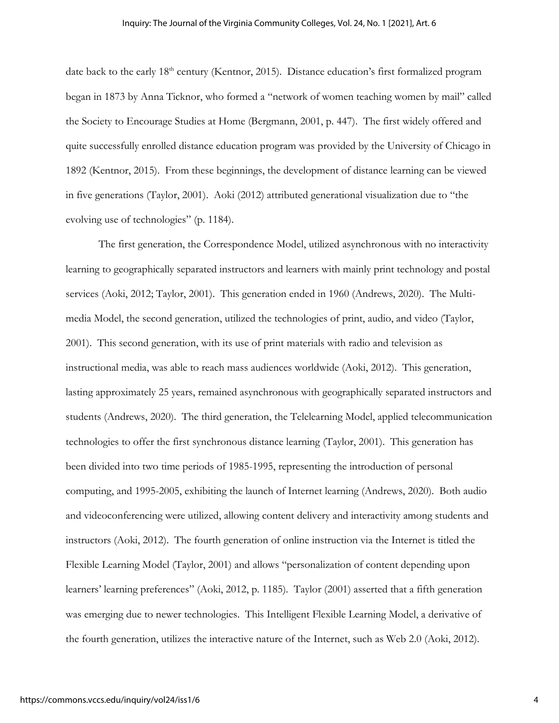date back to the early 18<sup>th</sup> century (Kentnor, 2015). Distance education's first formalized program began in 1873 by Anna Ticknor, who formed a "network of women teaching women by mail" called the Society to Encourage Studies at Home (Bergmann, 2001, p. 447). The first widely offered and quite successfully enrolled distance education program was provided by the University of Chicago in 1892 (Kentnor, 2015). From these beginnings, the development of distance learning can be viewed in five generations (Taylor, 2001). Aoki (2012) attributed generational visualization due to "the evolving use of technologies" (p. 1184).

The first generation, the Correspondence Model, utilized asynchronous with no interactivity learning to geographically separated instructors and learners with mainly print technology and postal services (Aoki, 2012; Taylor, 2001). This generation ended in 1960 (Andrews, 2020). The Multimedia Model, the second generation, utilized the technologies of print, audio, and video (Taylor, 2001). This second generation, with its use of print materials with radio and television as instructional media, was able to reach mass audiences worldwide (Aoki, 2012). This generation, lasting approximately 25 years, remained asynchronous with geographically separated instructors and students (Andrews, 2020). The third generation, the Telelearning Model, applied telecommunication technologies to offer the first synchronous distance learning (Taylor, 2001). This generation has been divided into two time periods of 1985-1995, representing the introduction of personal computing, and 1995-2005, exhibiting the launch of Internet learning (Andrews, 2020). Both audio and videoconferencing were utilized, allowing content delivery and interactivity among students and instructors (Aoki, 2012). The fourth generation of online instruction via the Internet is titled the Flexible Learning Model (Taylor, 2001) and allows "personalization of content depending upon learners' learning preferences" (Aoki, 2012, p. 1185). Taylor (2001) asserted that a fifth generation was emerging due to newer technologies. This Intelligent Flexible Learning Model, a derivative of the fourth generation, utilizes the interactive nature of the Internet, such as Web 2.0 (Aoki, 2012).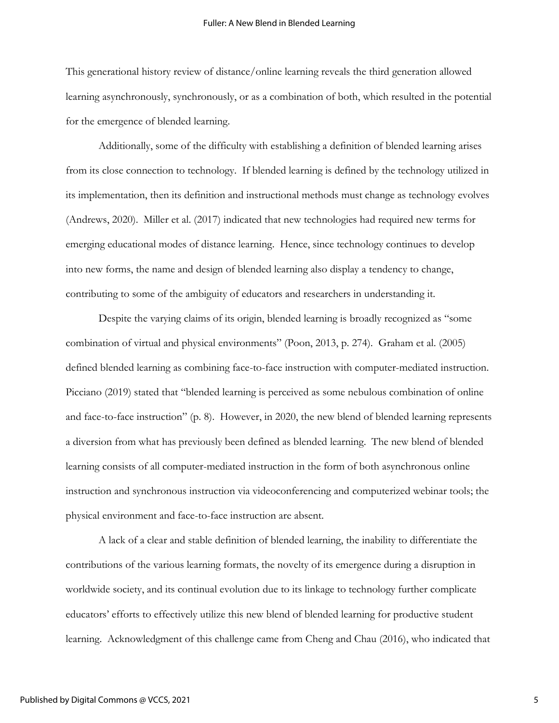This generational history review of distance/online learning reveals the third generation allowed learning asynchronously, synchronously, or as a combination of both, which resulted in the potential for the emergence of blended learning.

Additionally, some of the difficulty with establishing a definition of blended learning arises from its close connection to technology. If blended learning is defined by the technology utilized in its implementation, then its definition and instructional methods must change as technology evolves (Andrews, 2020). Miller et al. (2017) indicated that new technologies had required new terms for emerging educational modes of distance learning. Hence, since technology continues to develop into new forms, the name and design of blended learning also display a tendency to change, contributing to some of the ambiguity of educators and researchers in understanding it.

Despite the varying claims of its origin, blended learning is broadly recognized as "some combination of virtual and physical environments" (Poon, 2013, p. 274). Graham et al. (2005) defined blended learning as combining face-to-face instruction with computer-mediated instruction. Picciano (2019) stated that "blended learning is perceived as some nebulous combination of online and face-to-face instruction" (p. 8). However, in 2020, the new blend of blended learning represents a diversion from what has previously been defined as blended learning. The new blend of blended learning consists of all computer-mediated instruction in the form of both asynchronous online instruction and synchronous instruction via videoconferencing and computerized webinar tools; the physical environment and face-to-face instruction are absent.

A lack of a clear and stable definition of blended learning, the inability to differentiate the contributions of the various learning formats, the novelty of its emergence during a disruption in worldwide society, and its continual evolution due to its linkage to technology further complicate educators' efforts to effectively utilize this new blend of blended learning for productive student learning. Acknowledgment of this challenge came from Cheng and Chau (2016), who indicated that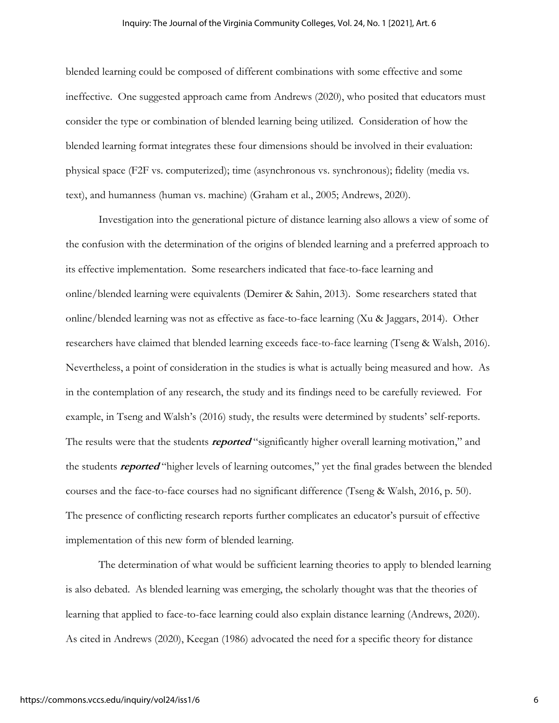blended learning could be composed of different combinations with some effective and some ineffective. One suggested approach came from Andrews (2020), who posited that educators must consider the type or combination of blended learning being utilized. Consideration of how the blended learning format integrates these four dimensions should be involved in their evaluation: physical space (F2F vs. computerized); time (asynchronous vs. synchronous); fidelity (media vs. text), and humanness (human vs. machine) (Graham et al., 2005; Andrews, 2020).

Investigation into the generational picture of distance learning also allows a view of some of the confusion with the determination of the origins of blended learning and a preferred approach to its effective implementation. Some researchers indicated that face-to-face learning and online/blended learning were equivalents (Demirer & Sahin, 2013). Some researchers stated that online/blended learning was not as effective as face-to-face learning (Xu & Jaggars, 2014). Other researchers have claimed that blended learning exceeds face-to-face learning (Tseng & Walsh, 2016). Nevertheless, a point of consideration in the studies is what is actually being measured and how. As in the contemplation of any research, the study and its findings need to be carefully reviewed. For example, in Tseng and Walsh's (2016) study, the results were determined by students' self-reports. The results were that the students **reported** "significantly higher overall learning motivation," and the students **reported** "higher levels of learning outcomes," yet the final grades between the blended courses and the face-to-face courses had no significant difference (Tseng & Walsh, 2016, p. 50). The presence of conflicting research reports further complicates an educator's pursuit of effective implementation of this new form of blended learning.

The determination of what would be sufficient learning theories to apply to blended learning is also debated. As blended learning was emerging, the scholarly thought was that the theories of learning that applied to face-to-face learning could also explain distance learning (Andrews, 2020). As cited in Andrews (2020), Keegan (1986) advocated the need for a specific theory for distance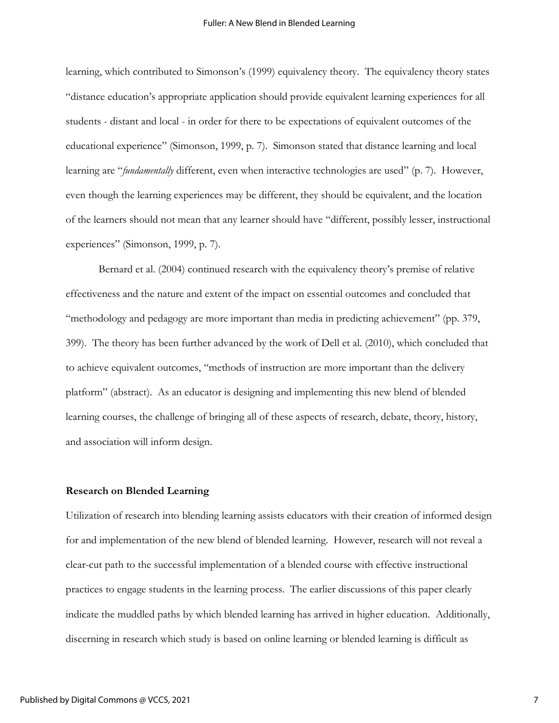learning, which contributed to Simonson's (1999) equivalency theory. The equivalency theory states "distance education's appropriate application should provide equivalent learning experiences for all students - distant and local - in order for there to be expectations of equivalent outcomes of the educational experience" (Simonson, 1999, p. 7). Simonson stated that distance learning and local learning are "*fundamentally* different, even when interactive technologies are used" (p. 7). However, even though the learning experiences may be different, they should be equivalent, and the location of the learners should not mean that any learner should have "different, possibly lesser, instructional experiences" (Simonson, 1999, p. 7).

Bernard et al. (2004) continued research with the equivalency theory's premise of relative effectiveness and the nature and extent of the impact on essential outcomes and concluded that "methodology and pedagogy are more important than media in predicting achievement" (pp. 379, 399). The theory has been further advanced by the work of Dell et al. (2010), which concluded that to achieve equivalent outcomes, "methods of instruction are more important than the delivery platform" (abstract). As an educator is designing and implementing this new blend of blended learning courses, the challenge of bringing all of these aspects of research, debate, theory, history, and association will inform design.

#### **Research on Blended Learning**

Utilization of research into blending learning assists educators with their creation of informed design for and implementation of the new blend of blended learning. However, research will not reveal a clear-cut path to the successful implementation of a blended course with effective instructional practices to engage students in the learning process. The earlier discussions of this paper clearly indicate the muddled paths by which blended learning has arrived in higher education. Additionally, discerning in research which study is based on online learning or blended learning is difficult as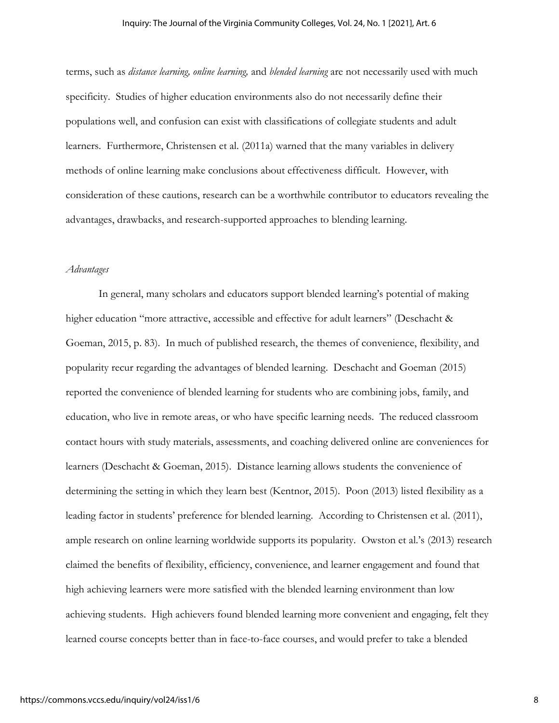terms, such as *distance learning, online learning,* and *blended learning* are not necessarily used with much specificity. Studies of higher education environments also do not necessarily define their populations well, and confusion can exist with classifications of collegiate students and adult learners. Furthermore, Christensen et al. (2011a) warned that the many variables in delivery methods of online learning make conclusions about effectiveness difficult. However, with consideration of these cautions, research can be a worthwhile contributor to educators revealing the advantages, drawbacks, and research-supported approaches to blending learning.

#### *Advantages*

In general, many scholars and educators support blended learning's potential of making higher education "more attractive, accessible and effective for adult learners" (Deschacht & Goeman, 2015, p. 83). In much of published research, the themes of convenience, flexibility, and popularity recur regarding the advantages of blended learning. Deschacht and Goeman (2015) reported the convenience of blended learning for students who are combining jobs, family, and education, who live in remote areas, or who have specific learning needs. The reduced classroom contact hours with study materials, assessments, and coaching delivered online are conveniences for learners (Deschacht & Goeman, 2015). Distance learning allows students the convenience of determining the setting in which they learn best (Kentnor, 2015). Poon (2013) listed flexibility as a leading factor in students' preference for blended learning. According to Christensen et al. (2011), ample research on online learning worldwide supports its popularity. Owston et al.'s (2013) research claimed the benefits of flexibility, efficiency, convenience, and learner engagement and found that high achieving learners were more satisfied with the blended learning environment than low achieving students. High achievers found blended learning more convenient and engaging, felt they learned course concepts better than in face-to-face courses, and would prefer to take a blended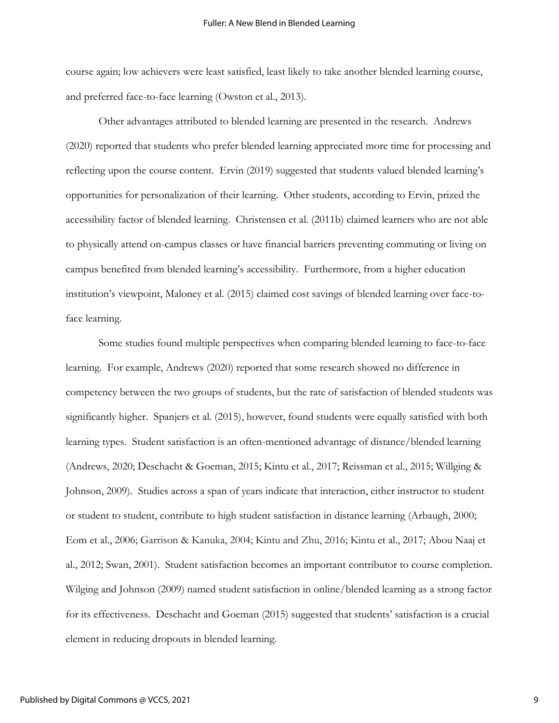course again; low achievers were least satisfied, least likely to take another blended learning course, and preferred face-to-face learning (Owston et al., 2013).

Other advantages attributed to blended learning are presented in the research. Andrews (2020) reported that students who prefer blended learning appreciated more time for processing and reflecting upon the course content. Ervin (2019) suggested that students valued blended learning's opportunities for personalization of their learning. Other students, according to Ervin, prized the accessibility factor of blended learning. Christensen et al. (2011b) claimed learners who are not able to physically attend on-campus classes or have financial barriers preventing commuting or living on campus benefited from blended learning's accessibility. Furthermore, from a higher education institution's viewpoint, Maloney et al. (2015) claimed cost savings of blended learning over face-toface learning.

Some studies found multiple perspectives when comparing blended learning to face-to-face learning. For example, Andrews (2020) reported that some research showed no difference in competency between the two groups of students, but the rate of satisfaction of blended students was significantly higher. Spanjers et al. (2015), however, found students were equally satisfied with both learning types. Student satisfaction is an often-mentioned advantage of distance/blended learning (Andrews, 2020; Deschacht & Goeman, 2015; Kintu et al., 2017; Reissman et al., 2015; Willging & Johnson, 2009). Studies across a span of years indicate that interaction, either instructor to student or student to student, contribute to high student satisfaction in distance learning (Arbaugh, 2000; Eom et al., 2006; Garrison & Kanuka, 2004; Kintu and Zhu, 2016; Kintu et al., 2017; Abou Naaj et al., 2012; Swan, 2001). Student satisfaction becomes an important contributor to course completion. Wilging and Johnson (2009) named student satisfaction in online/blended learning as a strong factor for its effectiveness. Deschacht and Goeman (2015) suggested that students' satisfaction is a crucial element in reducing dropouts in blended learning.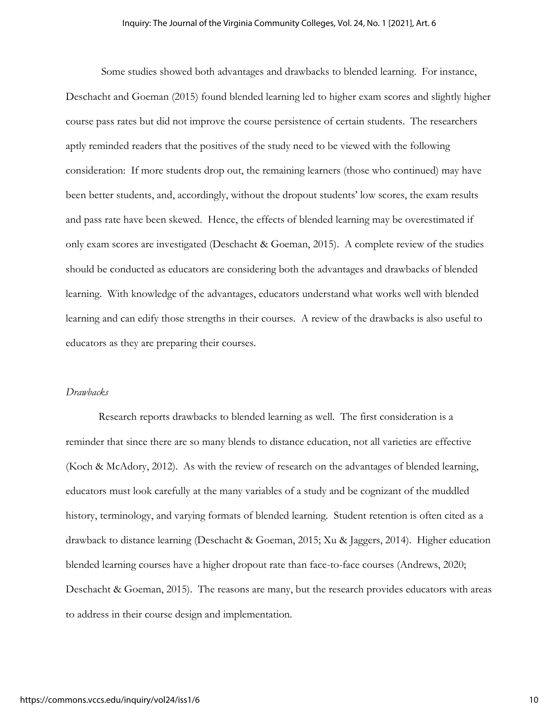Some studies showed both advantages and drawbacks to blended learning. For instance, Deschacht and Goeman (2015) found blended learning led to higher exam scores and slightly higher course pass rates but did not improve the course persistence of certain students. The researchers aptly reminded readers that the positives of the study need to be viewed with the following consideration: If more students drop out, the remaining learners (those who continued) may have been better students, and, accordingly, without the dropout students' low scores, the exam results and pass rate have been skewed. Hence, the effects of blended learning may be overestimated if only exam scores are investigated (Deschacht & Goeman, 2015). A complete review of the studies should be conducted as educators are considering both the advantages and drawbacks of blended learning. With knowledge of the advantages, educators understand what works well with blended learning and can edify those strengths in their courses. A review of the drawbacks is also useful to educators as they are preparing their courses.

### *Drawbacks*

Research reports drawbacks to blended learning as well. The first consideration is a reminder that since there are so many blends to distance education, not all varieties are effective (Koch & McAdory, 2012). As with the review of research on the advantages of blended learning, educators must look carefully at the many variables of a study and be cognizant of the muddled history, terminology, and varying formats of blended learning. Student retention is often cited as a drawback to distance learning (Deschacht & Goeman, 2015; Xu & Jaggers, 2014). Higher education blended learning courses have a higher dropout rate than face-to-face courses (Andrews, 2020; Deschacht & Goeman, 2015). The reasons are many, but the research provides educators with areas to address in their course design and implementation.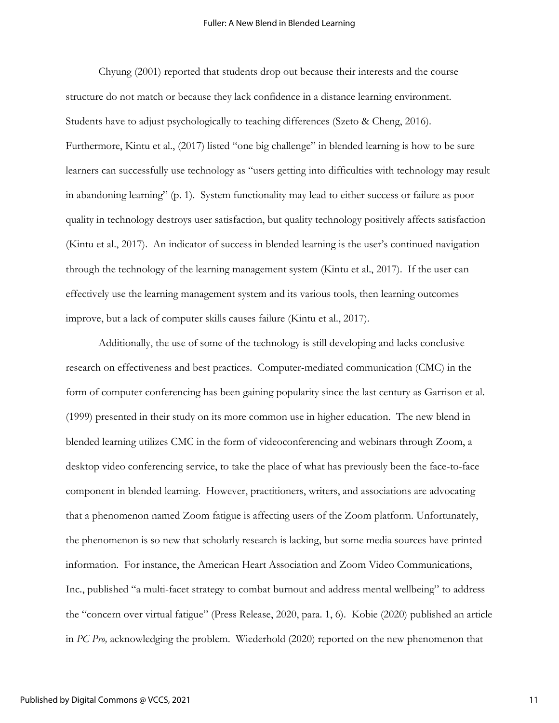#### Fuller: A New Blend in Blended Learning

Chyung (2001) reported that students drop out because their interests and the course structure do not match or because they lack confidence in a distance learning environment. Students have to adjust psychologically to teaching differences (Szeto & Cheng, 2016). Furthermore, Kintu et al., (2017) listed "one big challenge" in blended learning is how to be sure learners can successfully use technology as "users getting into difficulties with technology may result in abandoning learning" (p. 1). System functionality may lead to either success or failure as poor quality in technology destroys user satisfaction, but quality technology positively affects satisfaction (Kintu et al., 2017). An indicator of success in blended learning is the user's continued navigation through the technology of the learning management system (Kintu et al., 2017). If the user can effectively use the learning management system and its various tools, then learning outcomes improve, but a lack of computer skills causes failure (Kintu et al., 2017).

Additionally, the use of some of the technology is still developing and lacks conclusive research on effectiveness and best practices. Computer-mediated communication (CMC) in the form of computer conferencing has been gaining popularity since the last century as Garrison et al. (1999) presented in their study on its more common use in higher education. The new blend in blended learning utilizes CMC in the form of videoconferencing and webinars through Zoom, a desktop video conferencing service, to take the place of what has previously been the face-to-face component in blended learning. However, practitioners, writers, and associations are advocating that a phenomenon named Zoom fatigue is affecting users of the Zoom platform. Unfortunately, the phenomenon is so new that scholarly research is lacking, but some media sources have printed information. For instance, the American Heart Association and Zoom Video Communications, Inc., published "a multi-facet strategy to combat burnout and address mental wellbeing" to address the "concern over virtual fatigue" (Press Release, 2020, para. 1, 6). Kobie (2020) published an article in *PC Pro,* acknowledging the problem. Wiederhold (2020) reported on the new phenomenon that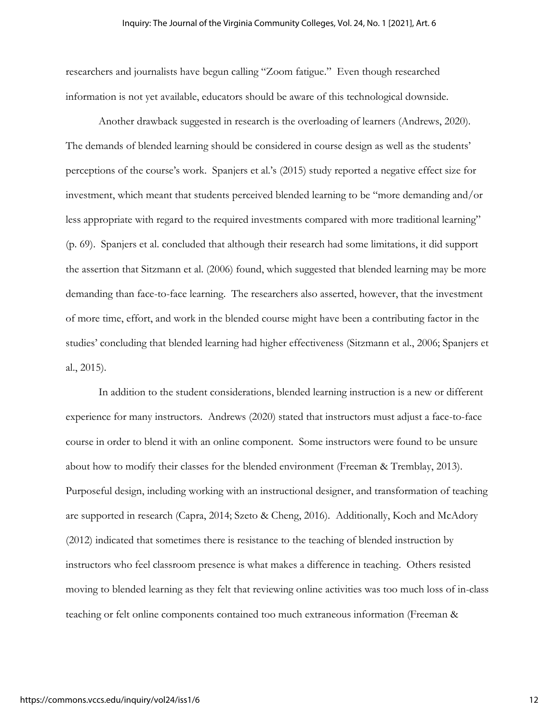researchers and journalists have begun calling "Zoom fatigue." Even though researched information is not yet available, educators should be aware of this technological downside.

Another drawback suggested in research is the overloading of learners (Andrews, 2020). The demands of blended learning should be considered in course design as well as the students' perceptions of the course's work. Spanjers et al.'s (2015) study reported a negative effect size for investment, which meant that students perceived blended learning to be "more demanding and/or less appropriate with regard to the required investments compared with more traditional learning" (p. 69). Spanjers et al. concluded that although their research had some limitations, it did support the assertion that Sitzmann et al. (2006) found, which suggested that blended learning may be more demanding than face-to-face learning. The researchers also asserted, however, that the investment of more time, effort, and work in the blended course might have been a contributing factor in the studies' concluding that blended learning had higher effectiveness (Sitzmann et al., 2006; Spanjers et al., 2015).

In addition to the student considerations, blended learning instruction is a new or different experience for many instructors. Andrews (2020) stated that instructors must adjust a face-to-face course in order to blend it with an online component. Some instructors were found to be unsure about how to modify their classes for the blended environment (Freeman & Tremblay, 2013). Purposeful design, including working with an instructional designer, and transformation of teaching are supported in research (Capra, 2014; Szeto & Cheng, 2016). Additionally, Koch and McAdory (2012) indicated that sometimes there is resistance to the teaching of blended instruction by instructors who feel classroom presence is what makes a difference in teaching. Others resisted moving to blended learning as they felt that reviewing online activities was too much loss of in-class teaching or felt online components contained too much extraneous information (Freeman &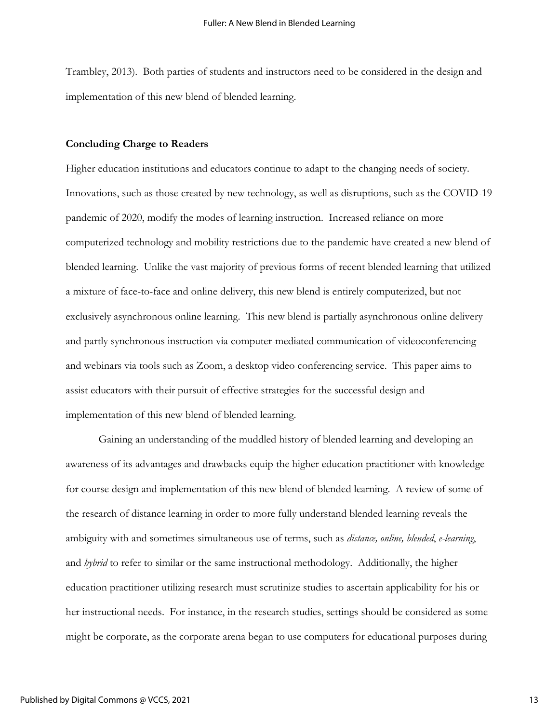Trambley, 2013). Both parties of students and instructors need to be considered in the design and implementation of this new blend of blended learning.

#### **Concluding Charge to Readers**

Higher education institutions and educators continue to adapt to the changing needs of society. Innovations, such as those created by new technology, as well as disruptions, such as the COVID-19 pandemic of 2020, modify the modes of learning instruction. Increased reliance on more computerized technology and mobility restrictions due to the pandemic have created a new blend of blended learning. Unlike the vast majority of previous forms of recent blended learning that utilized a mixture of face-to-face and online delivery, this new blend is entirely computerized, but not exclusively asynchronous online learning. This new blend is partially asynchronous online delivery and partly synchronous instruction via computer-mediated communication of videoconferencing and webinars via tools such as Zoom, a desktop video conferencing service. This paper aims to assist educators with their pursuit of effective strategies for the successful design and implementation of this new blend of blended learning.

Gaining an understanding of the muddled history of blended learning and developing an awareness of its advantages and drawbacks equip the higher education practitioner with knowledge for course design and implementation of this new blend of blended learning. A review of some of the research of distance learning in order to more fully understand blended learning reveals the ambiguity with and sometimes simultaneous use of terms, such as *distance, online, blended*, *e-learning*, and *hybrid* to refer to similar or the same instructional methodology. Additionally, the higher education practitioner utilizing research must scrutinize studies to ascertain applicability for his or her instructional needs. For instance, in the research studies, settings should be considered as some might be corporate, as the corporate arena began to use computers for educational purposes during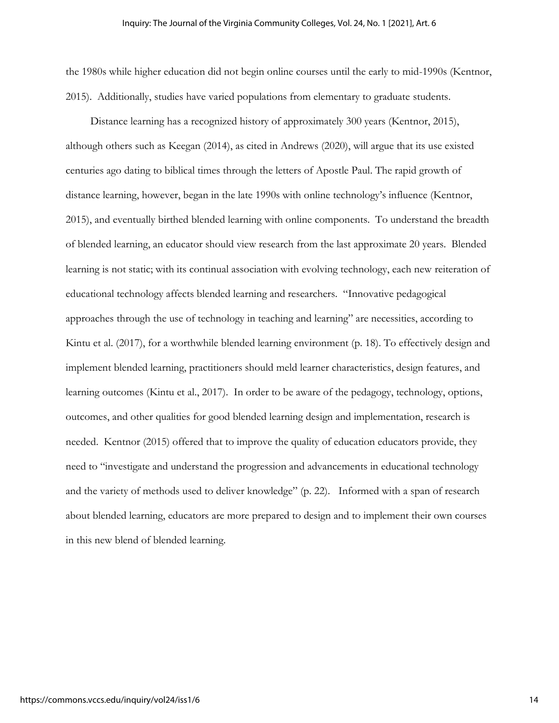the 1980s while higher education did not begin online courses until the early to mid-1990s (Kentnor, 2015). Additionally, studies have varied populations from elementary to graduate students.

 Distance learning has a recognized history of approximately 300 years (Kentnor, 2015), although others such as Keegan (2014), as cited in Andrews (2020), will argue that its use existed centuries ago dating to biblical times through the letters of Apostle Paul. The rapid growth of distance learning, however, began in the late 1990s with online technology's influence (Kentnor, 2015), and eventually birthed blended learning with online components. To understand the breadth of blended learning, an educator should view research from the last approximate 20 years. Blended learning is not static; with its continual association with evolving technology, each new reiteration of educational technology affects blended learning and researchers. "Innovative pedagogical approaches through the use of technology in teaching and learning" are necessities, according to Kintu et al. (2017), for a worthwhile blended learning environment (p. 18). To effectively design and implement blended learning, practitioners should meld learner characteristics, design features, and learning outcomes (Kintu et al., 2017). In order to be aware of the pedagogy, technology, options, outcomes, and other qualities for good blended learning design and implementation, research is needed. Kentnor (2015) offered that to improve the quality of education educators provide, they need to "investigate and understand the progression and advancements in educational technology and the variety of methods used to deliver knowledge" (p. 22). Informed with a span of research about blended learning, educators are more prepared to design and to implement their own courses in this new blend of blended learning.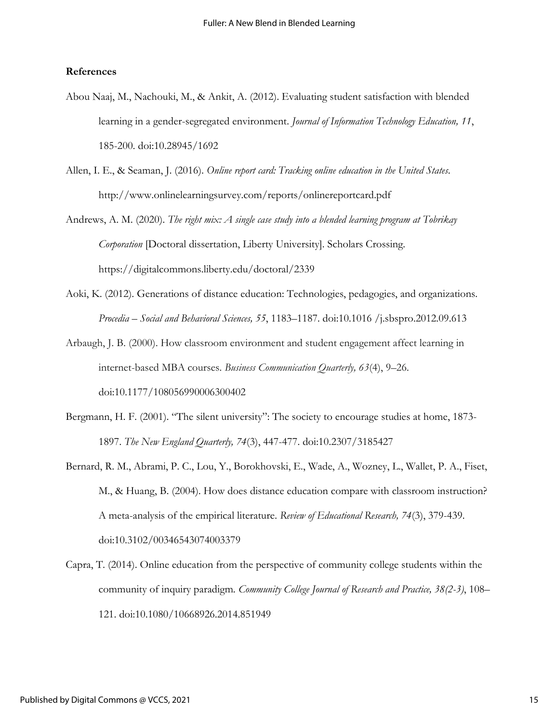#### **References**

- Abou Naaj, M., Nachouki, M., & Ankit, A. (2012). Evaluating student satisfaction with blended learning in a gender-segregated environment. *Journal of Information Technology Education, 11*, 185-200. doi:10.28945/1692
- Allen, I. E., & Seaman, J. (2016). *Online report card: Tracking online education in the United States*. http://www.onlinelearningsurvey.com/reports/onlinereportcard.pdf
- Andrews, A. M. (2020). *The right mix: A single case study into a blended learning program at Tobrikay Corporation* [Doctoral dissertation, Liberty University]. Scholars Crossing. https://digitalcommons.liberty.edu/doctoral/2339
- Aoki, K. (2012). Generations of distance education: Technologies, pedagogies, and organizations. *Procedia – Social and Behavioral Sciences, 55*, 1183–1187. doi:10.1016 /j.sbspro.2012.09.613
- Arbaugh, J. B. (2000). How classroom environment and student engagement affect learning in internet-based MBA courses. *Business Communication Quarterly, 63*(4), 9–26. doi:10.1177/108056990006300402
- Bergmann, H. F. (2001). "The silent university": The society to encourage studies at home, 1873- 1897. *The New England Quarterly, 74*(3), 447-477. doi:10.2307/3185427
- Bernard, R. M., Abrami, P. C., Lou, Y., Borokhovski, E., Wade, A., Wozney, L., Wallet, P. A., Fiset, M., & Huang, B. (2004). How does distance education compare with classroom instruction? A meta-analysis of the empirical literature. *Review of Educational Research, 74*(3), 379-439. doi:10.3102/00346543074003379
- Capra, T. (2014). Online education from the perspective of community college students within the community of inquiry paradigm*. Community College Journal of Research and Practice, 38(2-3)*, 108– 121. doi:10.1080/10668926.2014.851949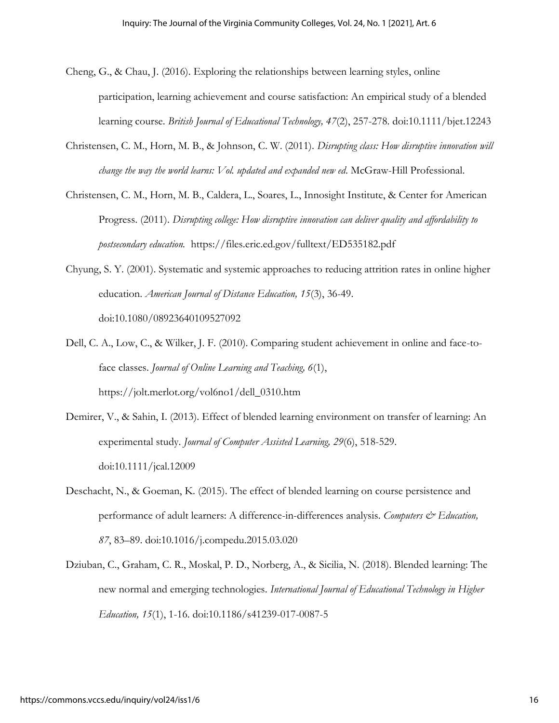- Cheng, G., & Chau, J. (2016). Exploring the relationships between learning styles, online participation, learning achievement and course satisfaction: An empirical study of a blended learning course. *British Journal of Educational Technology, 47*(2), 257-278. doi:10.1111/bjet.12243
- Christensen, C. M., Horn, M. B., & Johnson, C. W. (2011). *Disrupting class: How disruptive innovation will change the way the world learns: Vol. updated and expanded new ed*. McGraw-Hill Professional.
- Christensen, C. M., Horn, M. B., Caldera, L., Soares, L., Innosight Institute, & Center for American Progress. (2011). *Disrupting college: How disruptive innovation can deliver quality and affordability to postsecondary education.* https://files.eric.ed.gov/fulltext/ED535182.pdf
- Chyung, S. Y. (2001). Systematic and systemic approaches to reducing attrition rates in online higher education. *American Journal of Distance Education, 15*(3), 36-49. doi:10.1080/08923640109527092
- Dell, C. A., Low, C., & Wilker, J. F. (2010). Comparing student achievement in online and face-toface classes. *Journal of Online Learning and Teaching, 6*(1), https://jolt.merlot.org/vol6no1/dell\_0310.htm
- Demirer, V., & Sahin, I. (2013). Effect of blended learning environment on transfer of learning: An experimental study. *Journal of Computer Assisted Learning, 29*(6), 518-529. doi:10.1111/jcal.12009
- Deschacht, N., & Goeman, K. (2015). The effect of blended learning on course persistence and performance of adult learners: A difference-in-differences analysis. *Computers & Education*, *87*, 83–89. doi:10.1016/j.compedu.2015.03.020
- Dziuban, C., Graham, C. R., Moskal, P. D., Norberg, A., & Sicilia, N. (2018). Blended learning: The new normal and emerging technologies. *International Journal of Educational Technology in Higher Education, 15*(1), 1-16. doi:10.1186/s41239-017-0087-5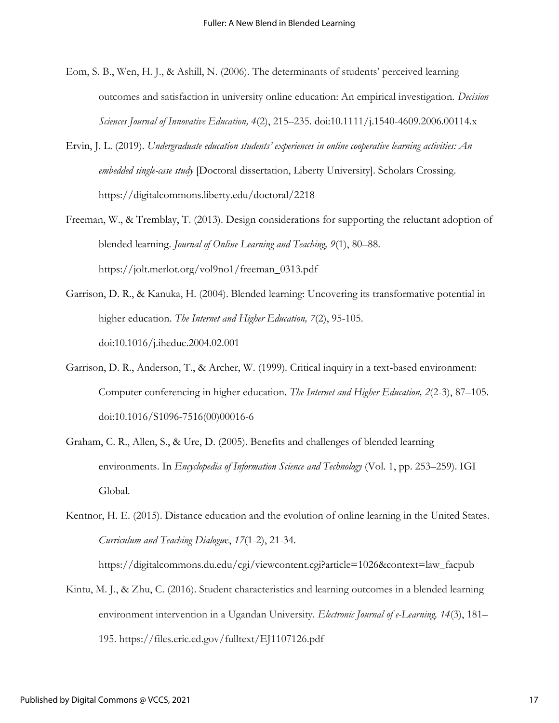- Eom, S. B., Wen, H. J., & Ashill, N. (2006). The determinants of students' perceived learning outcomes and satisfaction in university online education: An empirical investigation. *Decision Sciences Journal of Innovative Education, 4*(2), 215–235. doi:10.1111/j.1540-4609.2006.00114.x
- Ervin, J. L. (2019). *Undergraduate education students' experiences in online cooperative learning activities: An embedded single-case study* [Doctoral dissertation, Liberty University]. Scholars Crossing. https://digitalcommons.liberty.edu/doctoral/2218
- Freeman, W., & Tremblay, T. (2013). Design considerations for supporting the reluctant adoption of blended learning. *Journal of Online Learning and Teaching, 9*(1), 80–88. https://jolt.merlot.org/vol9no1/freeman\_0313.pdf
- Garrison, D. R., & Kanuka, H. (2004). Blended learning: Uncovering its transformative potential in higher education. *The Internet and Higher Education, 7*(2), 95-105. doi:10.1016/j.iheduc.2004.02.001
- Garrison, D. R., Anderson, T., & Archer, W. (1999). Critical inquiry in a text-based environment: Computer conferencing in higher education. *The Internet and Higher Education, 2*(2-3), 87–105. doi:10.1016/S1096-7516(00)00016-6
- Graham, C. R., Allen, S., & Ure, D. (2005). Benefits and challenges of blended learning environments. In *Encyclopedia of Information Science and Technology* (Vol. 1, pp. 253–259). IGI Global.
- Kentnor, H. E. (2015). Distance education and the evolution of online learning in the United States. *Curriculum and Teaching Dialogu*e, *17*(1-2), 21-34.

https://digitalcommons.du.edu/cgi/viewcontent.cgi?article=1026&context=law\_facpub

Kintu, M. J., & Zhu, C. (2016). Student characteristics and learning outcomes in a blended learning environment intervention in a Ugandan University. *Electronic Journal of e-Learning, 14*(3), 181– 195. https://files.eric.ed.gov/fulltext/EJ1107126.pdf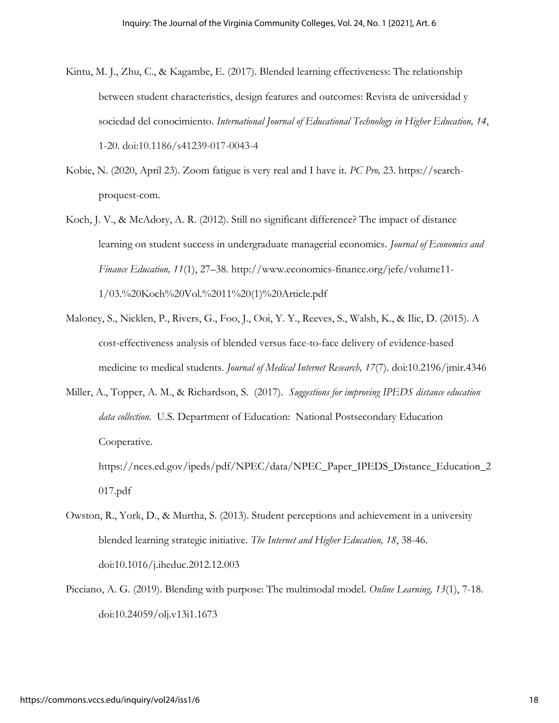- Kintu, M. J., Zhu, C., & Kagambe, E. (2017). Blended learning effectiveness: The relationship between student characteristics, design features and outcomes: Revista de universidad y sociedad del conocimiento. *International Journal of Educational Technology in Higher Education, 14*, 1-20. doi:10.1186/s41239-017-0043-4
- Kobie, N. (2020, April 23). Zoom fatigue is very real and I have it. *PC Pro,* 23. https://searchproquest-com.
- Koch, J. V., & McAdory, A. R. (2012). Still no significant difference? The impact of distance learning on student success in undergraduate managerial economics. *Journal of Economics and Finance Education, 11*(1), 27–38. http://www.economics-finance.org/jefe/volume11- 1/03.%20Koch%20Vol.%2011%20(1)%20Article.pdf
- Maloney, S., Nicklen, P., Rivers, G., Foo, J., Ooi, Y. Y., Reeves, S., Walsh, K., & Ilic, D. (2015). A cost-effectiveness analysis of blended versus face-to-face delivery of evidence-based medicine to medical students. *Journal of Medical Internet Research, 17*(7). doi:10.2196/jmir.4346
- Miller, A., Topper, A. M., & Richardson, S. (2017). *Suggestions for improving IPEDS distance education data collection.* U.S. Department of Education: National Postsecondary Education Cooperative.

https://nces.ed.gov/ipeds/pdf/NPEC/data/NPEC\_Paper\_IPEDS\_Distance\_Education\_2 017.pdf

- Owston, R., York, D., & Murtha, S. (2013). Student perceptions and achievement in a university blended learning strategic initiative. *The Internet and Higher Education, 18*, 38-46. doi:10.1016/j.iheduc.2012.12.003
- Picciano, A. G. (2019). Blending with purpose: The multimodal model. *Online Learning, 13*(1), 7-18. doi:10.24059/olj.v13i1.1673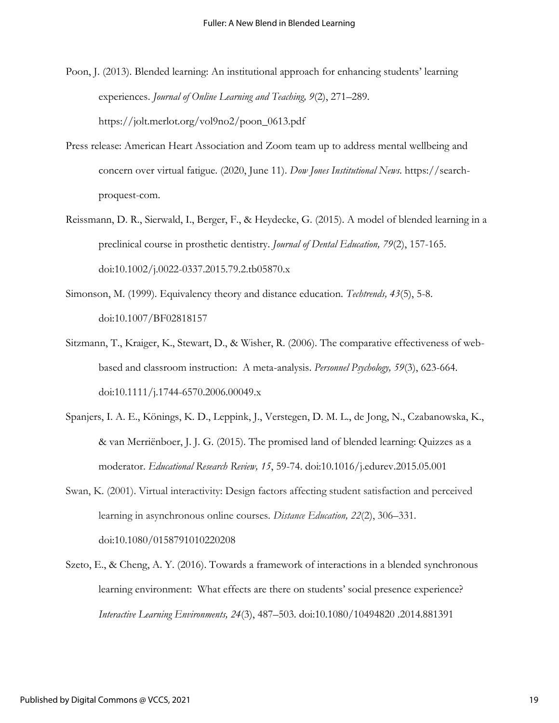Poon, J. (2013). Blended learning: An institutional approach for enhancing students' learning experiences. *Journal of Online Learning and Teaching, 9*(2), 271–289. https://jolt.merlot.org/vol9no2/poon\_0613.pdf

- Press release: American Heart Association and Zoom team up to address mental wellbeing and concern over virtual fatigue. (2020, June 11). *Dow Jones Institutional News*. https://searchproquest-com.
- Reissmann, D. R., Sierwald, I., Berger, F., & Heydecke, G. (2015). A model of blended learning in a preclinical course in prosthetic dentistry. *Journal of Dental Education, 79*(2), 157-165. doi:10.1002/j.0022-0337.2015.79.2.tb05870.x
- Simonson, M. (1999). Equivalency theory and distance education. *Techtrends, 43*(5), 5-8. doi:10.1007/BF02818157
- Sitzmann, T., Kraiger, K., Stewart, D., & Wisher, R. (2006). The comparative effectiveness of webbased and classroom instruction: A meta-analysis. *Personnel Psychology, 59*(3), 623-664. doi:10.1111/j.1744-6570.2006.00049.x
- Spanjers, I. A. E., Könings, K. D., Leppink, J., Verstegen, D. M. L., de Jong, N., Czabanowska, K., & van Merriënboer, J. J. G. (2015). The promised land of blended learning: Quizzes as a moderator. *Educational Research Review, 15*, 59-74. doi:10.1016/j.edurev.2015.05.001
- Swan, K. (2001). Virtual interactivity: Design factors affecting student satisfaction and perceived learning in asynchronous online courses. *Distance Education, 22*(2), 306–331. doi:10.1080/0158791010220208
- Szeto, E., & Cheng, A. Y. (2016). Towards a framework of interactions in a blended synchronous learning environment: What effects are there on students' social presence experience? *Interactive Learning Environments, 24*(3), 487–503. doi:10.1080/10494820 .2014.881391